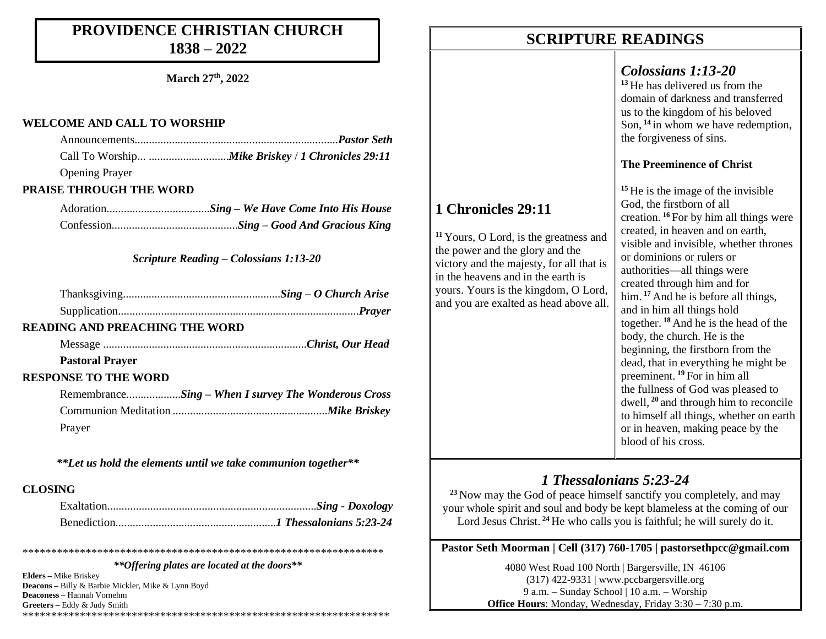#### **PROVIDENCE CHRISTIAN CHURCH 1838 – 2022**

**March 27 th, 2022**

#### **WELCOME AND CALL TO WORSHIP**

| <b>Opening Prayer</b> |  |
|-----------------------|--|

#### **PRAISE THROUGH THE WORD**

#### *Scripture Reading – Colossians 1:13-20*

#### **READING AND PREACHING THE WORD**

Message .......................................................................*Christ, Our Head*

#### **Pastoral Prayer**

#### **RESPONSE TO THE WORD**

|        | RemembranceSing – When I survey The Wonderous Cross |  |
|--------|-----------------------------------------------------|--|
|        |                                                     |  |
| Prayer |                                                     |  |

*\*\*Let us hold the elements until we take communion together\*\**

#### **CLOSING**

*\*\*Offering plates are located at the doors\*\**

\*\*\*\*\*\*\*\*\*\*\*\*\*\*\*\*\*\*\*\*\*\*\*\*\*\*\*\*\*\*\*\*\*\*\*\*\*\*\*\*\*\*\*\*\*\*\*\*\*\*\*\*\*\*\*\*\*\*\*\*\*\*\*

**Elders –** Mike Briskey **Deacons –** Billy & Barbie Mickler, Mike & Lynn Boyd **Deaconess –** Hannah Vornehm **Greeters –** Eddy & Judy Smith \*\*\*\*\*\*\*\*\*\*\*\*\*\*\*\*\*\*\*\*\*\*\*\*\*\*\*\*\*\*\*\*\*\*\*\*\*\*\*\*\*\*\*\*\*\*\*\*\*\*\*\*\*\*\*\*\*\*\*\*\*\*\*\*

### **SCRIPTURE READINGS SCRIPTURE READINGS**

**1 Chronicles 29:11**

**<sup>11</sup>** Yours, O Lord, is the greatness and the power and the glory and the victory and the majesty, for all that is in the heavens and in the earth is yours. Yours is the kingdom, O Lord, and you are exalted as head above all.

#### *Colossians 1:13-20*

**<sup>13</sup>** He has delivered us from the domain of darkness and transferred us to the kingdom of his beloved Son, **<sup>14</sup>** in whom we have redemption, the forgiveness of sins.

#### **The Preeminence of Christ**

**<sup>15</sup>** He is the image of the invisible God, the firstborn of all creation. **<sup>16</sup>** For by him all things were created, in heaven and on earth, visible and invisible, whether thrones or dominions or rulers or authorities—all things were created through him and for him. **<sup>17</sup>** And he is before all things, and in him all things hold together. **<sup>18</sup>** And he is the head of the body, the church. He is the beginning, the firstborn from the dead, that in everything he might be preeminent. **<sup>19</sup>** For in him all the fullness of God was pleased to dwell, **<sup>20</sup>** and through him to reconcile to himself all things, whether on earth or in heaven, making peace by the blood of his cross.

#### *1 Thessalonians 5:23-24*

**<sup>23</sup>** Now may the God of peace himself sanctify you completely, and may your whole spirit and soul and body be kept blameless at the coming of our Lord Jesus Christ.<sup>24</sup> He who calls you is faithful; he will surely do it.

#### **Pastor Seth Moorman | Cell (317) 760-1705 | pastorsethpcc@gmail.com**

4080 West Road 100 North | Bargersville, IN 46106 (317) 422-9331 | www.pccbargersville.org 9 a.m. – Sunday School | 10 a.m. – Worship **Office Hours:** Monday, Wednesday, Friday 3:30 – 7:30 p.m.